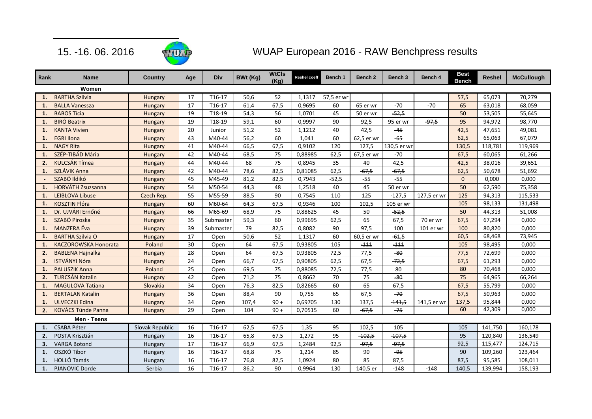

15. -16. 06. 2016

## WUAP European 2016 - RAW Benchpress results

| Rank           | <b>Name</b>               | Country         | Age | Div       | <b>BWt (Kg)</b> | <b>WtCls</b><br>(Kg) | <b>Reshel coeff</b> | Bench 1    | Bench 2    | Bench <sub>3</sub> | Bench 4     | <b>Best</b><br><b>Bench</b> | <b>Reshel</b> | <b>McCullough</b> |
|----------------|---------------------------|-----------------|-----|-----------|-----------------|----------------------|---------------------|------------|------------|--------------------|-------------|-----------------------------|---------------|-------------------|
|                | Women                     |                 |     |           |                 |                      |                     |            |            |                    |             |                             |               |                   |
| 1.             | <b>BARTHA Szilvia</b>     | Hungary         | 17  | T16-17    | 50,6            | 52                   | 1,1317              | 57,5 er wr |            |                    |             | 57,5                        | 65,073        | 70,279            |
| 1.             | <b>BALLA Vanessza</b>     | Hungary         | 17  | T16-17    | 61,4            | 67,5                 | 0,9695              | 60         | 65 er wr   | $-70$              | $-70$       | 65                          | 63,018        | 68,059            |
| 1.             | <b>BABOS Tícia</b>        | Hungary         | 19  | T18-19    | 54,3            | 56                   | 1,0701              | 45         | 50 er wr   | $-52,5$            |             | 50                          | 53,505        | 55,645            |
| 1.             | <b>BIRÓ Beatrix</b>       | Hungary         | 19  | T18-19    | 59,1            | 60                   | 0,9997              | 90         | 92,5       | 95 er wr           | $-97,5$     | 95                          | 94,972        | 98,770            |
| 1.             | <b>KANTA Vivien</b>       | Hungary         | 20  | Junior    | 51,2            | 52                   | 1,1212              | 40         | 42,5       | $-45$              |             | 42,5                        | 47,651        | 49,081            |
| $\mathbf{1}$   | <b>EGRI Ilona</b>         | Hungary         | 43  | M40-44    | 56,2            | 60                   | 1,041               | 60         | 62,5 er wr | $-65$              |             | 62,5                        | 65,063        | 67,079            |
| $\mathbf{1}$   | <b>NAGY Rita</b>          | Hungary         | 41  | M40-44    | 66,5            | 67,5                 | 0,9102              | 120        | 127,5      | 130,5 er wr        |             | 130,5                       | 118,781       | 119,969           |
| $\mathbf{1}$   | SZÉP-TIBÁD Mária          | Hungary         | 42  | M40-44    | 68,5            | 75                   | 0,88985             | 62,5       | 67,5 er wr | $-70$              |             | 67,5                        | 60,065        | 61,266            |
| 2.             | <b>KULCSÁR Tímea</b>      | Hungary         | 44  | M40-44    | 68              | 75                   | 0,8945              | 35         | 40         | 42,5               |             | 42,5                        | 38,016        | 39,651            |
| $\mathbf{1}$   | SZLÁVIK Anna              | Hungary         | 42  | M40-44    | 78,6            | 82,5                 | 0,81085             | 62,5       | $-67,5$    | $-67,5$            |             | 62,5                        | 50,678        | 51,692            |
|                | SZABÓ Ildikó              | Hungary         | 45  | M45-49    | 81,2            | 82,5                 | 0,7943              | $-52,5$    | $-55$      | $-55$              |             | $\mathbf{0}$                | 0,000         | 0,000             |
| $\mathbf{1}$   | <b>HORVÁTH Zsuzsanna</b>  | Hungary         | 54  | M50-54    | 44,3            | 48                   | 1,2518              | 40         | 45         | 50 er wr           |             | 50                          | 62,590        | 75,358            |
| $\mathbf{1}$   | <b>LEIBLOVA Libuse</b>    | Czech Rep.      | 55  | M55-59    | 88,5            | 90                   | 0,7545              | 110        | 125        | $-127,5$           | 127,5 er wr | 125                         | 94,313        | 115,533           |
| $\mathbf{1}$   | <b>KOSZTIN Flóra</b>      | Hungary         | 60  | M60-64    | 64,3            | 67,5                 | 0,9346              | 100        | 102,5      | 105 er wr          |             | 105                         | 98,133        | 131,498           |
| $\mathbf{1}$   | Dr. UJVÁRI Ernőné         | Hungary         | 66  | M65-69    | 68,9            | 75                   | 0,88625             | 45         | 50         | $-52,5$            |             | 50                          | 44,313        | 51,008            |
| $\mathbf{1}$   | SZABÓ Piroska             | <b>Hungary</b>  | 35  | Submaster | 59,3            | 60                   | 0,99695             | 62,5       | 65         | 67,5               | 70 er wr    | 67,5                        | 67,294        | 0,000             |
| 1.             | <b>MANZERA</b> Éva        | Hungary         | 39  | Submaster | 79              | 82,5                 | 0,8082              | 90         | 97,5       | 100                | 101 er wr   | 100                         | 80,820        | 0,000             |
| $\mathbf{1}$   | <b>BARTHA Szilvia O</b>   | Hungary         | 17  | Open      | 50,6            | 52                   | 1,1317              | 60         | 60,5 er wr | $-61,5$            |             | 60,5                        | 68,468        | 73,945            |
| $\mathbf{1}$   | KACZOROWSKA Honorata      | Poland          | 30  | Open      | 64              | 67,5                 | 0,93805             | 105        | $-111$     | $-111$             |             | 105                         | 98,495        | 0,000             |
| 2.             | <b>BABLENA Hajnalka</b>   | Hungary         | 28  | Open      | 64              | 67,5                 | 0,93805             | 72,5       | 77,5       | $-80$              |             | 77,5                        | 72,699        | 0,000             |
| 3 <sub>1</sub> | <b>ISTVÁNYI Nóra</b>      | Hungary         | 24  | Open      | 66,7            | 67,5                 | 0,90805             | 62,5       | 67,5       | $-72,5$            |             | 67,5                        | 61,293        | 0,000             |
| $\mathbf{1}$   | <b>PALUSZIK Anna</b>      | Poland          | 25  | Open      | 69,5            | 75                   | 0,88085             | 72,5       | 77,5       | 80                 |             | 80                          | 70,468        | 0,000             |
| 2 <sub>1</sub> | <b>TURCSÁN Katalin</b>    | Hungary         | 42  | Open      | 71,2            | 75                   | 0,8662              | 70         | 75         | $-80$              |             | 75                          | 64,965        | 66,264            |
| $\mathbf{1}$   | <b>MAGULOVA Tatiana</b>   | Slovakia        | 34  | Open      | 76,3            | 82,5                 | 0,82665             | 60         | 65         | 67,5               |             | 67,5                        | 55,799        | 0,000             |
| $\mathbf{1}$   | <b>BERTALAN Katalin</b>   | Hungary         | 36  | Open      | 88,4            | 90                   | 0,755               | 65         | 67,5       | $-70$              |             | 67,5                        | 50,963        | 0,000             |
| $\mathbf{1}$   | <b>ULVECZKI Edina</b>     | Hungary         | 34  | Open      | 107,4           | $90 +$               | 0,69705             | 130        | 137,5      | $-141,5$           | 141,5 er wr | 137,5                       | 95,844        | 0,000             |
| $\overline{2}$ | <b>KOVÁCS Tünde Panna</b> | Hungary         | 29  | Open      | 104             | $90 +$               | 0,70515             | 60         | $-67,5$    | $-75$              |             | 60                          | 42,309        | 0,000             |
|                | Men - Teens               |                 |     |           |                 |                      |                     |            |            |                    |             |                             |               |                   |
| $\mathbf{1}$   | <b>CSABA Péter</b>        | Slovak Republic | 16  | T16-17    | 62,5            | 67,5                 | 1,35                | 95         | 102,5      | 105                |             | 105                         | 141,750       | 160,178           |
| 2.             | POSTA Krisztián           | Hungary         | 16  | T16-17    | 65,8            | 67,5                 | 1,272               | 95         | $-102,5$   | $-107,5$           |             | 95                          | 120,840       | 136,549           |
| 3.             | <b>VARGA Botond</b>       | <b>Hungary</b>  | 17  | T16-17    | 66,9            | 67,5                 | 1,2484              | 92,5       | $-97,5$    | $-97,5$            |             | 92,5                        | 115,477       | 124,715           |
| $\mathbf{1}$   | OSZKÓ Tibor               | Hungary         | 16  | T16-17    | 68,8            | 75                   | 1,214               | 85         | 90         | $-95$              |             | 90                          | 109,260       | 123,464           |
| $\mathbf{1}$   | <b>HOLLÓ Tamás</b>        | Hungary         | 16  | T16-17    | 76,8            | 82,5                 | 1,0924              | 80         | 85         | 87,5               |             | 87,5                        | 95,585        | 108,011           |
| 1.             | PJANOVIC Dorde            | Serbia          | 16  | T16-17    | 86,2            | 90                   | 0,9964              | 130        | 140,5 er   | $-148$             | $-148$      | 140,5                       | 139,994       | 158,193           |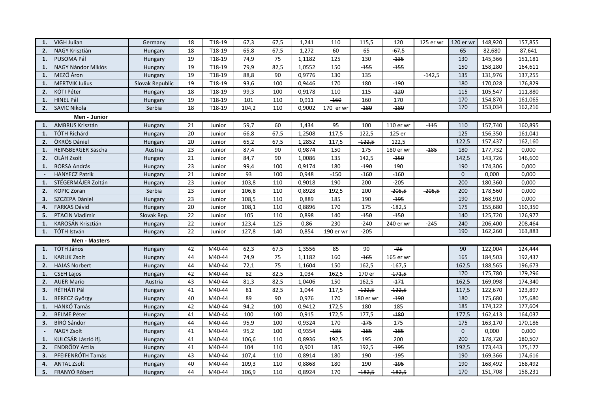| 1.           | VIGH Julian            | Germany         | 18              | T18-19 | 67,3  | 67,5 | 1,241  | 110       | 115,5     | 120       | 125 er wr | 120 er wr    | 148,920 | 157,855 |
|--------------|------------------------|-----------------|-----------------|--------|-------|------|--------|-----------|-----------|-----------|-----------|--------------|---------|---------|
| 2.           | NAGY Krisztián         | Hungary         | 18              | T18-19 | 65,8  | 67,5 | 1,272  | 60        | 65        | $-67,5$   |           | 65           | 82,680  | 87,641  |
| 1.           | PUSOMA Pál             | Hungary         | 19              | T18-19 | 74,9  | 75   | 1,1182 | 125       | 130       | $-135$    |           | 130          | 145,366 | 151,181 |
| 1.           | NAGY Nándor Miklós     | Hungary         | 19              | T18-19 | 79,9  | 82,5 | 1,0552 | 150       | $-155$    | $-155$    |           | 150          | 158,280 | 164,611 |
| 1.           | MEZŐ Áron              | Hungary         | $\overline{19}$ | T18-19 | 88,8  | 90   | 0,9776 | 130       | 135       |           | $-142,5$  | 135          | 131,976 | 137,255 |
| 1.           | <b>MERTVIK Julius</b>  | Slovak Republic | 19              | T18-19 | 93,6  | 100  | 0,9446 | 170       | 180       | $-190$    |           | 180          | 170,028 | 176,829 |
| 2.           | KÓTI Péter             | Hungary         | 18              | T18-19 | 99,3  | 100  | 0,9178 | 110       | 115       | $-120$    |           | 115          | 105,547 | 111,880 |
| 1.           | <b>HINEL Pál</b>       | Hungary         | 19              | T18-19 | 101   | 110  | 0,911  | $-160$    | 160       | 170       |           | 170          | 154,870 | 161,065 |
| 2.           | <b>SAVIC Nikola</b>    | Serbia          | 18              | T18-19 | 104,2 | 110  | 0,9002 | 170 er wr | $-180$    | $-180$    |           | 170          | 153,034 | 162,216 |
| Men - Junior |                        |                 |                 |        |       |      |        |           |           |           |           |              |         |         |
| $\mathbf{1}$ | AMBRUS Krisztán        | Hungary         | 21              | Junior | 59,7  | 60   | 1,434  | 95        | 100       | 110 er wr | $-115$    | 110          | 157,740 | 160,895 |
| 1.           | <b>TÓTH Richárd</b>    | Hungary         | 20              | Junior | 66,8  | 67,5 | 1,2508 | 117,5     | 122,5     | 125 er    |           | 125          | 156,350 | 161,041 |
| 2.           | ÖKRÖS Dániel           | Hungary         | 20              | Junior | 65,2  | 67,5 | 1,2852 | 117,5     | $-122,5$  | 122,5     |           | 122,5        | 157,437 | 162,160 |
| 1.           | REINSBERGER Sascha     | Austria         | 23              | Junior | 87,4  | 90   | 0,9874 | 150       | 175       | 180 er wr | $-185$    | 180          | 177,732 | 0,000   |
| 2.           | OLÁH Zsolt             | Hungary         | 21              | Junior | 84,7  | 90   | 1,0086 | 135       | 142,5     | $-150$    |           | 142,5        | 143,726 | 146,600 |
| $\mathbf{1}$ | <b>BORSA András</b>    | Hungary         | 23              | Junior | 99,4  | 100  | 0,9174 | 180       | $-190$    | 190       |           | 190          | 174,306 | 0,000   |
|              | <b>HANYECZ Patrik</b>  | Hungary         | 21              | Junior | 93    | 100  | 0,948  | $-150$    | $-160$    | $-160$    |           | 0            | 0,000   | 0,000   |
| 1.           | STÉGERMÁJER Zoltán     | Hungary         | 23              | Junior | 103,8 | 110  | 0,9018 | 190       | 200       | $-205$    |           | 200          | 180,360 | 0,000   |
| 2.           | <b>KOPIC Zoran</b>     | Serbia          | 23              | Junior | 106,8 | 110  | 0,8928 | 192,5     | 200       | $-205,5$  | $-205,5$  | 200          | 178,560 | 0,000   |
| 3.           | SZCZEPA Dániel         | Hungary         | 23              | Junior | 108,5 | 110  | 0,889  | 185       | 190       | $-195$    |           | 190          | 168,910 | 0,000   |
| 4.           | <b>FARKAS Dávid</b>    | Hungary         | 20              | Junior | 108,1 | 110  | 0,8896 | 170       | 175       | $-182,5$  |           | 175          | 155,680 | 160,350 |
| 5.           | <b>PTACIN Vladimir</b> | Slovak Rep.     | 22              | Junior | 105   | 110  | 0,898  | 140       | $-150$    | $-150$    |           | 140          | 125,720 | 126,977 |
| 1.           | KAROSÁN Krisztián      | Hungary         | 22              | Junior | 123,4 | 125  | 0,86   | 230       | $-240$    | 240 er wr | $-245$    | 240          | 206,400 | 208,464 |
| 1.           | TÓTH István            | Hungary         | 22              | Junior | 127,8 | 140  | 0,854  | 190 er wr | $-205$    |           |           | 190          | 162,260 | 163,883 |
|              | <b>Men - Masters</b>   |                 |                 |        |       |      |        |           |           |           |           |              |         |         |
| 1.           | TÓTH János             | Hungary         | 42              | M40-44 | 62,3  | 67,5 | 1,3556 | 85        | 90        | -95       |           | 90           | 122,004 | 124,444 |
| 1.           | <b>KARLIK Zsolt</b>    | Hungary         | 44              | M40-44 | 74,9  | 75   | 1,1182 | 160       | $-165$    | 165 er wr |           | 165          | 184,503 | 192,437 |
| 2.           | <b>HAJAS Norbert</b>   | Hungary         | 44              | M40-44 | 72,1  | 75   | 1,1604 | 150       | 162,5     | $-167,5$  |           | 162,5        | 188,565 | 196,673 |
| 1.           | <b>CSEH Lajos</b>      | Hungary         | 42              | M40-44 | 82    | 82,5 | 1,034  | 162,5     | 170 er    | $-171,5$  |           | 170          | 175,780 | 179,296 |
| 2.           | <b>AUER Mario</b>      | Austria         | 43              | M40-44 | 81,3  | 82,5 | 1,0406 | 150       | 162,5     | $-171$    |           | 162,5        | 169,098 | 174,340 |
| 3.           | RÉTHÁTI Pál            | Hungary         | 41              | M40-44 | 81    | 82,5 | 1,044  | 117,5     | $-122,5$  | $-122,5$  |           | 117,5        | 122,670 | 123,897 |
| 1.           | <b>BERECZ György</b>   | Hungary         | 40              | M40-44 | 89    | 90   | 0,976  | 170       | 180 er wr | $-190$    |           | 180          | 175,680 | 175,680 |
| 1.           | HANKÓ Tamás            | Hungary         | 42              | M40-44 | 94,2  | 100  | 0,9412 | 172,5     | 180       | 185       |           | 185          | 174,122 | 177,604 |
| 2.           | <b>BELME Péter</b>     | Hungary         | 41              | M40-44 | 100   | 100  | 0,915  | 172,5     | 177,5     | $-180$    |           | 177,5        | 162,413 | 164,037 |
| 3.           | BÍRÓ Sándor            | Hungary         | 44              | M40-44 | 95,9  | 100  | 0,9324 | 170       | $-175$    | 175       |           | 175          | 163,170 | 170,186 |
|              | <b>NAGY Zsolt</b>      | Hungary         | 41              | M40-44 | 95,2  | 100  | 0,9354 | $-185$    | $-185$    | $-185$    |           | $\mathbf{0}$ | 0,000   | 0,000   |
| 1.           | KULCSÁR László ifj.    | Hungary         | 41              | M40-44 | 106,6 | 110  | 0,8936 | 192,5     | 195       | 200       |           | 200          | 178,720 | 180,507 |
| 2.           | <b>ENDRŐDY Attila</b>  | Hungary         | 41              | M40-44 | 104   | 110  | 0,901  | 185       | 192,5     | $-195$    |           | 192,5        | 173,443 | 175,177 |
| 3.           | PFEIFENRÓTH Tamás      | Hungary         | 43              | M40-44 | 107,4 | 110  | 0,8914 | 180       | 190       | $-195$    |           | 190          | 169,366 | 174,616 |
| 4.           | <b>ANTAL Zsolt</b>     | Hungary         | 40              | M40-44 | 109,3 | 110  | 0,8868 | 180       | 190       | $-195$    |           | 190          | 168,492 | 168,492 |
| 5.           | FRANYÓ Róbert          | Hungary         | 44              | M40-44 | 106,9 | 110  | 0,8924 | 170       | $-182,5$  | $-182,5$  |           | 170          | 151,708 | 158,231 |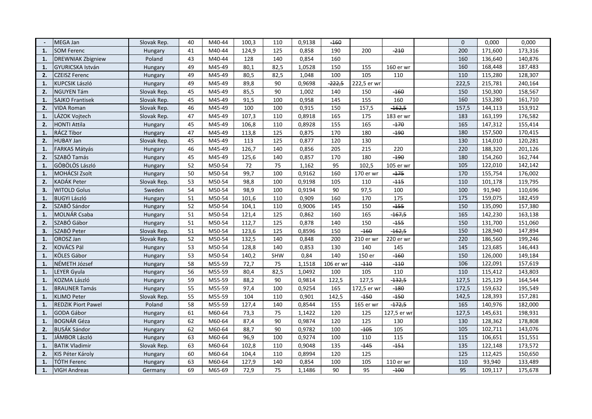|    | MEGA Jan                  | Slovak Rep.    | 40 | M40-44 | 100,3 | 110  | 0,9138 | $-160$    |             |             | $\Omega$ | 0,000   | 0,000   |
|----|---------------------------|----------------|----|--------|-------|------|--------|-----------|-------------|-------------|----------|---------|---------|
| 1. | <b>SOM Ferenc</b>         | Hungary        | 41 | M40-44 | 124,9 | 125  | 0,858  | 190       | 200         | $-210$      | 200      | 171,600 | 173,316 |
| 1. | <b>DREWNIAK Zbigniew</b>  | Poland         | 43 | M40-44 | 128   | 140  | 0,854  | 160       |             |             | 160      | 136,640 | 140,876 |
| 1. | GYURICSKA István          | Hungary        | 49 | M45-49 | 80,1  | 82,5 | 1,0528 | 150       | 155         | 160 er wr   | 160      | 168,448 | 187,483 |
| 2. | <b>CZEISZ Ferenc</b>      | Hungary        | 49 | M45-49 | 80,5  | 82,5 | 1,048  | 100       | 105         | 110         | 110      | 115,280 | 128,307 |
| 1. | KUPCSIK László            | Hungary        | 49 | M45-49 | 89,8  | 90   | 0,9698 | $-222,5$  | 222,5 er wr |             | 222,5    | 215,781 | 240,164 |
| 2. | <b>NGUYEN Tám</b>         | Slovak Rep.    | 45 | M45-49 | 85,5  | 90   | 1,002  | 140       | 150         | $-160$      | 150      | 150,300 | 158,567 |
| 1. | SAJKO Frantisek           | Slovak Rep.    | 45 | M45-49 | 91,5  | 100  | 0,958  | 145       | 155         | 160         | 160      | 153,280 | 161,710 |
| 2. | <b>VIDA Roman</b>         | Slovak Rep.    | 46 | M45-49 | 100   | 100  | 0,915  | 150       | 157,5       | $-162,5$    | 157,5    | 144,113 | 153,912 |
| 1. | LÁZOK Vojtech             | Slovak Rep.    | 47 | M45-49 | 107,3 | 110  | 0,8918 | 165       | 175         | 183 er wr   | 183      | 163,199 | 176,582 |
| 2. | HONTI Attila              | Hungary        | 45 | M45-49 | 106,8 | 110  | 0,8928 | 155       | 165         | $-170$      | 165      | 147,312 | 155,414 |
| 1. | RÁCZ Tibor                | Hungary        | 47 | M45-49 | 113,8 | 125  | 0,875  | 170       | 180         | $-190$      | 180      | 157,500 | 170,415 |
| 2. | <b>HUBAY Jan</b>          | Slovak Rep.    | 45 | M45-49 | 113   | 125  | 0,877  | 120       | 130         |             | 130      | 114,010 | 120,281 |
| 1. | FARKAS Mátyás             | Hungary        | 46 | M45-49 | 126,7 | 140  | 0,856  | 205       | 215         | 220         | 220      | 188,320 | 201,126 |
| 2. | SZABÓ Tamás               | Hungary        | 45 | M45-49 | 125,6 | 140  | 0,857  | 170       | 180         | $-190$      | 180      | 154,260 | 162,744 |
| 1. | GÖBÖLÖS László            | Hungary        | 52 | M50-54 | 72    | 75   | 1,162  | 95        | 102,5       | 105 er wr   | 105      | 122,010 | 142,142 |
| 1. | MOHÁCSI Zsolt             | Hungary        | 50 | M50-54 | 99,7  | 100  | 0,9162 | 160       | 170 er wr   | $-175$      | 170      | 155,754 | 176,002 |
| 2. | KADÁK Peter               | Slovak Rep.    | 53 | M50-54 | 98,8  | 100  | 0,9198 | 105       | 110         | $-115$      | 110      | 101,178 | 119,795 |
| 3. | <b>WITOLD Golus</b>       | Sweden         | 54 | M50-54 | 98,9  | 100  | 0,9194 | 90        | 97,5        | 100         | 100      | 91,940  | 110,696 |
| 1. | <b>BUGYI László</b>       | <b>Hungary</b> | 51 | M50-54 | 101,6 | 110  | 0,909  | 160       | 170         | 175         | 175      | 159,075 | 182,459 |
| 2. | SZABÓ Sándor              | Hungary        | 52 | M50-54 | 104,1 | 110  | 0,9006 | 145       | 150         | $-155$      | 150      | 135,090 | 157,380 |
| 1. | MOLNÁR Csaba              | Hungary        | 51 | M50-54 | 121,4 | 125  | 0,862  | 160       | 165         | $-167,5$    | 165      | 142,230 | 163,138 |
| 2. | SZABÓ Gábor               | Hungary        | 51 | M50-54 | 112,7 | 125  | 0,878  | 140       | 150         | $-155$      | 150      | 131,700 | 151,060 |
| 3. | SZABÓ Peter               | Slovak Rep.    | 51 | M50-54 | 123,6 | 125  | 0,8596 | 150       | $-160$      | $-162,5$    | 150      | 128,940 | 147,894 |
| 1. | OROSZ Jan                 | Slovak Rep.    | 52 | M50-54 | 132,5 | 140  | 0,848  | 200       | 210 er wr   | 220 er wr   | 220      | 186,560 | 199,246 |
| 2. | KOVÁCS Pál                | <b>Hungary</b> | 53 | M50-54 | 128,8 | 140  | 0,853  | 130       | 140         | 145         | 145      | 123,685 | 146,443 |
| 1. | KÖLES Gábor               | Hungary        | 53 | M50-54 | 140,2 | SHW  | 0,84   | 140       | 150 er      | $-160$      | 150      | 126,000 | 149,184 |
| 1. | NÉMETH József             | Hungary        | 58 | M55-59 | 72,7  | 75   | 1,1518 | 106 er wr | $-110$      | $-110$      | 106      | 122,091 | 157,619 |
| 1. | LEYER Gyula               | Hungary        | 56 | M55-59 | 80,4  | 82.5 | 1,0492 | 100       | 105         | 110         | 110      | 115,412 | 143,803 |
| 1. | KOZMA László              | Hungary        | 59 | M55-59 | 88,2  | 90   | 0,9814 | 122,5     | 127,5       | $-132,5$    | 127,5    | 125,129 | 164,544 |
| 1. | <b>BRAUNER Tamás</b>      | Hungary        | 55 | M55-59 | 97,4  | 100  | 0,9254 | 165       | 172,5 er wr | $-180$      | 172,5    | 159,632 | 195,549 |
| 1. | <b>KLIMO Peter</b>        | Slovak Rep.    | 55 | M55-59 | 104   | 110  | 0,901  | 142,5     | $-150$      | $-150$      | 142,5    | 128,393 | 157,281 |
| 1. | <b>REDZIK Piort Pawel</b> | Poland         | 58 | M55-59 | 127,4 | 140  | 0,8544 | 155       | 165 er wr   | $-172,5$    | 165      | 140,976 | 182,000 |
| 1. | GODA Gábor                | Hungary        | 61 | M60-64 | 73,3  | 75   | 1,1422 | 120       | 125         | 127,5 er wr | 127,5    | 145,631 | 198,931 |
| 1. | <b>BOGNÁR Géza</b>        | Hungary        | 62 | M60-64 | 87,4  | 90   | 0,9874 | 120       | 125         | 130         | 130      | 128,362 | 178,808 |
| 2. | <b>BUSÁK Sándor</b>       | Hungary        | 62 | M60-64 | 88,7  | 90   | 0,9782 | 100       | $-105$      | 105         | 105      | 102,711 | 143,076 |
| 1. | JÁMBOR László             | Hungary        | 63 | M60-64 | 96,9  | 100  | 0,9274 | 100       | 110         | 115         | 115      | 106,651 | 151,551 |
| 1. | <b>BATIK Vladimir</b>     | Slovak Rep.    | 63 | M60-64 | 102,8 | 110  | 0,9048 | 135       | $-145$      | $-151$      | 135      | 122,148 | 173,572 |
| 2. | KIS Péter Károly          | Hungary        | 60 | M60-64 | 104,4 | 110  | 0,8994 | 120       | 125         |             | 125      | 112,425 | 150,650 |
| 1. | <b>TÓTH Ferenc</b>        | Hungary        | 63 | M60-64 | 127,9 | 140  | 0,854  | 100       | 105         | 110 er wr   | 110      | 93,940  | 133,489 |
| 1. | VIGH Andreas              | Germany        | 69 | M65-69 | 72,9  | 75   | 1,1486 | 90        | 95          | $-100$      | 95       | 109,117 | 175,678 |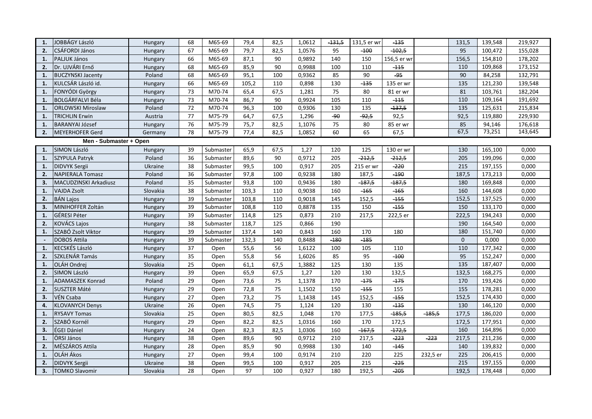| 1.                     | JOBBÁGY László           | Hungary  | 68 | M65-69    | 79,4  | 82,5 | 1,0612 | <del>-131,5</del> | 131,5 er wr | -135        |          | 131,5        | 139,548 | 219,927 |
|------------------------|--------------------------|----------|----|-----------|-------|------|--------|-------------------|-------------|-------------|----------|--------------|---------|---------|
| 2.                     | <b>CSÁFORDI János</b>    | Hungary  | 67 | M65-69    | 79,7  | 82,5 | 1,0576 | 95                | $-100$      | $-102,5$    |          | 95           | 100,472 | 155,028 |
| 1.                     | PALJUK János             | Hungary  | 66 | M65-69    | 87,1  | 90   | 0,9892 | 140               | 150         | 156,5 er wr |          | 156,5        | 154,810 | 178,202 |
| 2.                     | Dr. UJVÁRI Ernő          | Hungary  | 68 | M65-69    | 85,9  | 90   | 0,9988 | 100               | 110         | $-115$      |          | 110          | 109,868 | 173,152 |
| $\mathbf{1}$           | <b>BUCZYNSKI Jacenty</b> | Poland   | 68 | M65-69    | 95,1  | 100  | 0,9362 | 85                | 90          | -95         |          | 90           | 84,258  | 132,791 |
| 1.                     | KULCSÁR László id.       | Hungary  | 66 | M65-69    | 105,2 | 110  | 0,898  | 130               | $-135$      | 135 er wr   |          | 135          | 121,230 | 139,548 |
| 1.                     | FONYÓDI György           | Hungary  | 73 | M70-74    | 65,4  | 67,5 | 1,281  | 75                | 80          | 81 er wr    |          | 81           | 103,761 | 182,204 |
| $\mathbf{1}$           | <b>BOLGÁRFALVI Béla</b>  | Hungary  | 73 | M70-74    | 86,7  | 90   | 0,9924 | 105               | 110         | $-115$      |          | 110          | 109,164 | 191,692 |
| 1.                     | <b>ORLOWSKI Miroslaw</b> | Poland   | 72 | M70-74    | 96,3  | 100  | 0,9306 | 130               | 135         | $-137,5$    |          | 135          | 125,631 | 215,834 |
| 1.                     | <b>TRICHLIN Erwin</b>    | Austria  | 77 | M75-79    | 64,7  | 67,5 | 1,296  | $-90$             | $-92,5$     | 92,5        |          | 92,5         | 119,880 | 229,930 |
| 1.                     | <b>BARANYAI József</b>   | Hungary  | 76 | M75-79    | 75,7  | 82,5 | 1,1076 | 75                | 80          | 85 er wr    |          | 85           | 94,146  | 176,618 |
| 2.                     | <b>MEYERHOFER Gerd</b>   | Germany  | 78 | M75-79    | 77,4  | 82,5 | 1,0852 | 60                | 65          | 67,5        |          | 67,5         | 73,251  | 143,645 |
| Men - Submaster + Open |                          |          |    |           |       |      |        |                   |             |             |          |              |         |         |
| 1.                     | SIMON László             | Hungary  | 39 | Submaster | 65,9  | 67,5 | 1,27   | 120               | 125         | 130 er wr   |          | 130          | 165,100 | 0,000   |
| 1.                     | <b>SZYPULA Patryk</b>    | Poland   | 36 | Submaster | 89,6  | 90   | 0,9712 | 205               | $-212,5$    | $-212,5$    |          | 205          | 199,096 | 0,000   |
| 1.                     | <b>DIDVYK Sergii</b>     | Ukraine  | 38 | Submaster | 99,5  | 100  | 0,917  | 205               | 215 er wr   | $-220$      |          | 215          | 197,155 | 0,000   |
| 2.                     | <b>NAPIERALA Tomasz</b>  | Poland   | 36 | Submaster | 97,8  | 100  | 0,9238 | 180               | 187,5       | $-190$      |          | 187,5        | 173,213 | 0,000   |
| 3.                     | MACUDZINSKI Arkadiusz    | Poland   | 35 | Submaster | 93,8  | 100  | 0,9436 | 180               | $-187,5$    | $-187,5$    |          | 180          | 169,848 | 0,000   |
| 1.                     | <b>VAJDA Zsolt</b>       | Slovakia | 38 | Submaster | 103,3 | 110  | 0,9038 | 160               | $-165$      | $-165$      |          | 160          | 144,608 | 0,000   |
| 2.                     | <b>BÁN Lajos</b>         | Hungary  | 39 | Submaster | 103,8 | 110  | 0,9018 | 145               | 152,5       | $-155$      |          | 152,5        | 137,525 | 0,000   |
| $\overline{3}$         | MINIHOFFER Zoltán        | Hungary  | 39 | Submaster | 108,8 | 110  | 0,8878 | 135               | 150         | $-155$      |          | 150          | 133,170 | 0,000   |
| $\mathbf{1}$           | GÉRESI Péter             | Hungary  | 39 | Submaster | 114,8 | 125  | 0,873  | 210               | 217,5       | 222,5 er    |          | 222,5        | 194,243 | 0,000   |
| 2.                     | <b>KOVÁCS Lajos</b>      | Hungary  | 38 | Submaster | 118,7 | 125  | 0,866  | 190               |             |             |          | 190          | 164,540 | 0,000   |
| 1.                     | SZABÓ Zsolt Viktor       | Hungary  | 39 | Submaster | 137,4 | 140  | 0,843  | 160               | 170         | 180         |          | 180          | 151,740 | 0,000   |
|                        | <b>DOBOS Attila</b>      | Hungary  | 39 | Submaster | 132,3 | 140  | 0,8488 | $-180$            | $-185$      |             |          | $\mathbf{0}$ | 0,000   | 0,000   |
| $\mathbf{1}$           | KECSKÉS László           | Hungary  | 37 | Open      | 55,6  | 56   | 1,6122 | 100               | 105         | 110         |          | 110          | 177,342 | 0,000   |
| 2.                     | SZKLENÁR Tamás           | Hungary  | 35 | Open      | 55,8  | 56   | 1,6026 | 85                | 95          | $-100$      |          | 95           | 152,247 | 0,000   |
| 1.                     | OLÁH Ondrej              | Slovakia | 25 | Open      | 61,1  | 67,5 | 1,3882 | 125               | 130         | 135         |          | 135          | 187,407 | 0,000   |
| 2.                     | SIMON László             | Hungary  | 39 | Open      | 65,9  | 67,5 | 1,27   | 120               | 130         | 132,5       |          | 132,5        | 168,275 | 0,000   |
| $\mathbf{1}$           | ADAMASZEK Konrad         | Poland   | 29 | Open      | 73,6  | 75   | 1,1378 | 170               | $-175$      | $-175$      |          | 170          | 193,426 | 0,000   |
| 2.                     | <b>SUSZTER Máté</b>      | Hungary  | 29 | Open      | 72,8  | 75   | 1,1502 | 150               | $-155$      | 155         |          | 155          | 178,281 | 0,000   |
| 3.                     | VÉN Csaba                | Hungary  | 27 | Open      | 73,2  | 75   | 1,1438 | 145               | 152,5       | $-155$      |          | 152,5        | 174,430 | 0,000   |
| 4.                     | <b>KLOVANYCH Denys</b>   | Ukraine  | 26 | Open      | 74,5  | 75   | 1,124  | 120               | 130         | $-135$      |          | 130          | 146,120 | 0,000   |
| 1.                     | <b>RYSAVY Tomas</b>      | Slovakia | 25 | Open      | 80,5  | 82,5 | 1,048  | 170               | 177,5       | $-185,5$    | $-185,5$ | 177,5        | 186,020 | 0,000   |
| 2.                     | SZABÓ Kornél             | Hungary  | 29 | Open      | 82.2  | 82,5 | 1,0316 | 160               | 170         | 172,5       |          | 172,5        | 177,951 | 0,000   |
| 3.                     | ÉGEI Dániel              | Hungary  | 24 | Open      | 82,3  | 82,5 | 1,0306 | 160               | $-167,5$    | $-172,5$    |          | 160          | 164,896 | 0,000   |
| 1.                     | ÖRSI János               | Hungary  | 38 | Open      | 89,6  | 90   | 0,9712 | 210               | 217,5       | $-223$      | $-223$   | 217,5        | 211,236 | 0,000   |
| 2.                     | MÉSZÁROS Attila          | Hungary  | 28 | Open      | 85,9  | 90   | 0,9988 | 130               | 140         | $-145$      |          | 140          | 139,832 | 0,000   |
| 1.                     | <b>OLÁH</b> Ákos         | Hungary  | 27 | Open      | 99,4  | 100  | 0,9174 | 210               | 220         | 225         | 232,5 er | 225          | 206,415 | 0,000   |
| 2.                     | <b>DIDVYK Sergii</b>     | Ukraine  | 38 | Open      | 99,5  | 100  | 0,917  | 205               | 215         | $-225$      |          | 215          | 197,155 | 0,000   |
| 3.                     | <b>TOMKO Slavomir</b>    | Slovakia | 28 | Open      | 97    | 100  | 0,927  | 180               | 192,5       | $-205$      |          | 192,5        | 178,448 | 0,000   |